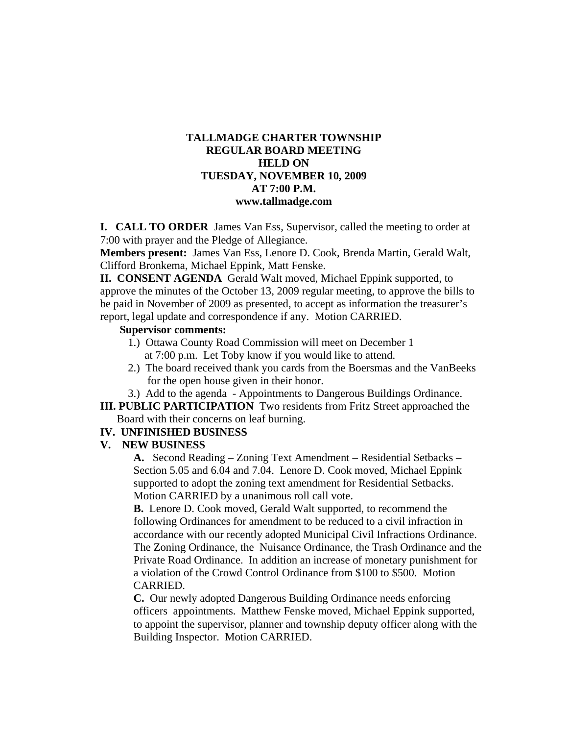## **TALLMADGE CHARTER TOWNSHIP REGULAR BOARD MEETING HELD ON TUESDAY, NOVEMBER 10, 2009 AT 7:00 P.M. www.tallmadge.com**

**I. CALL TO ORDER** James Van Ess, Supervisor, called the meeting to order at 7:00 with prayer and the Pledge of Allegiance.

**Members present:** James Van Ess, Lenore D. Cook, Brenda Martin, Gerald Walt, Clifford Bronkema, Michael Eppink, Matt Fenske.

**II. CONSENT AGENDA** Gerald Walt moved, Michael Eppink supported, to approve the minutes of the October 13, 2009 regular meeting, to approve the bills to be paid in November of 2009 as presented, to accept as information the treasurer's report, legal update and correspondence if any. Motion CARRIED.

#### **Supervisor comments:**

- 1.) Ottawa County Road Commission will meet on December 1 at 7:00 p.m. Let Toby know if you would like to attend.
- 2.) The board received thank you cards from the Boersmas and the VanBeeks for the open house given in their honor.
- 3.) Add to the agenda Appointments to Dangerous Buildings Ordinance.
- **III. PUBLIC PARTICIPATION** Two residents from Fritz Street approached the Board with their concerns on leaf burning.

### **IV. UNFINISHED BUSINESS**

### **V. NEW BUSINESS**

**A.** Second Reading – Zoning Text Amendment – Residential Setbacks – Section 5.05 and 6.04 and 7.04. Lenore D. Cook moved, Michael Eppink supported to adopt the zoning text amendment for Residential Setbacks. Motion CARRIED by a unanimous roll call vote.

**B.** Lenore D. Cook moved, Gerald Walt supported, to recommend the following Ordinances for amendment to be reduced to a civil infraction in accordance with our recently adopted Municipal Civil Infractions Ordinance. The Zoning Ordinance, the Nuisance Ordinance, the Trash Ordinance and the Private Road Ordinance. In addition an increase of monetary punishment for a violation of the Crowd Control Ordinance from \$100 to \$500. Motion CARRIED.

**C.** Our newly adopted Dangerous Building Ordinance needs enforcing officers appointments. Matthew Fenske moved, Michael Eppink supported, to appoint the supervisor, planner and township deputy officer along with the Building Inspector. Motion CARRIED.